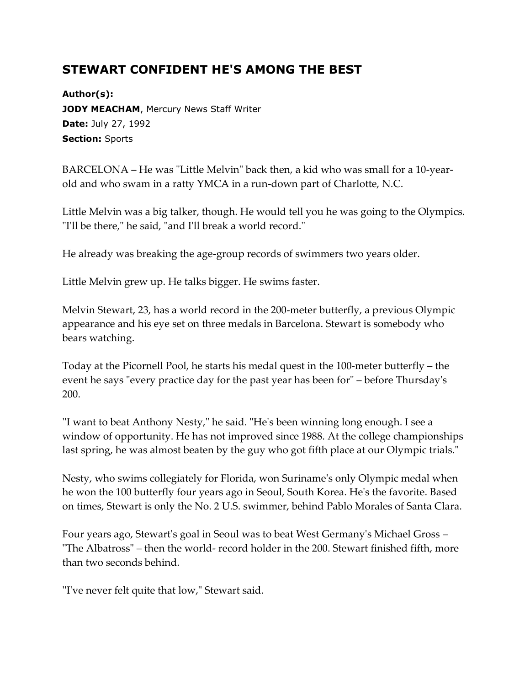## **STEWART CONFIDENT HE'S AMONG THE BEST**

**Author(s): JODY MEACHAM, Mercury News Staff Writer Date:** July 27, 1992 **Section:** Sports

BARCELONA – He was "Little Melvin" back then, a kid who was small for a 10-yearold and who swam in a ratty YMCA in a run-down part of Charlotte, N.C.

Little Melvin was a big talker, though. He would tell you he was going to the Olympics. "I'll be there," he said, "and I'll break a world record."

He already was breaking the age-group records of swimmers two years older.

Little Melvin grew up. He talks bigger. He swims faster.

Melvin Stewart, 23, has a world record in the 200-meter butterfly, a previous Olympic appearance and his eye set on three medals in Barcelona. Stewart is somebody who bears watching.

Today at the Picornell Pool, he starts his medal quest in the 100-meter butterfly – the event he says "every practice day for the past year has been for" – before Thursday's 200.

''I want to beat Anthony Nesty," he said. "He's been winning long enough. I see a window of opportunity. He has not improved since 1988. At the college championships last spring, he was almost beaten by the guy who got fifth place at our Olympic trials."

Nesty, who swims collegiately for Florida, won Suriname's only Olympic medal when he won the 100 butterfly four years ago in Seoul, South Korea. He's the favorite. Based on times, Stewart is only the No. 2 U.S. swimmer, behind Pablo Morales of Santa Clara.

Four years ago, Stewart's goal in Seoul was to beat West Germany's Michael Gross – "The Albatross" – then the world- record holder in the 200. Stewart finished fifth, more than two seconds behind.

''I've never felt quite that low," Stewart said.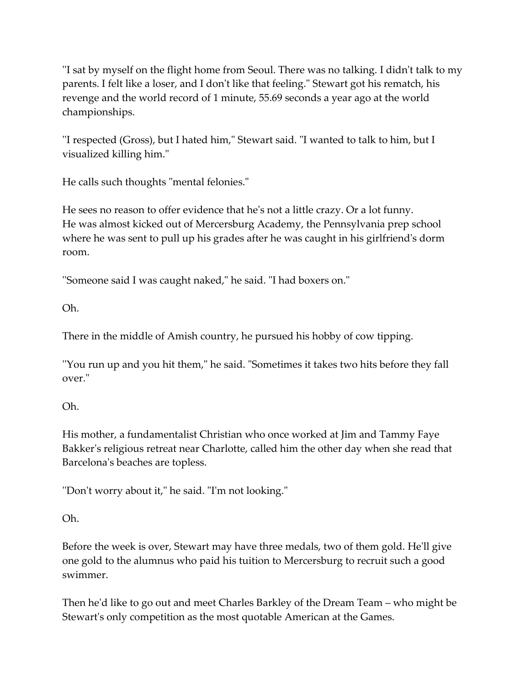''I sat by myself on the flight home from Seoul. There was no talking. I didn't talk to my parents. I felt like a loser, and I don't like that feeling." Stewart got his rematch, his revenge and the world record of 1 minute, 55.69 seconds a year ago at the world championships.

''I respected (Gross), but I hated him," Stewart said. "I wanted to talk to him, but I visualized killing him."

He calls such thoughts "mental felonies."

He sees no reason to offer evidence that he's not a little crazy. Or a lot funny. He was almost kicked out of Mercersburg Academy, the Pennsylvania prep school where he was sent to pull up his grades after he was caught in his girlfriend's dorm room.

''Someone said I was caught naked," he said. "I had boxers on."

Oh.

There in the middle of Amish country, he pursued his hobby of cow tipping.

''You run up and you hit them," he said. "Sometimes it takes two hits before they fall over."

## Oh.

His mother, a fundamentalist Christian who once worked at Jim and Tammy Faye Bakker's religious retreat near Charlotte, called him the other day when she read that Barcelona's beaches are topless.

''Don't worry about it," he said. "I'm not looking."

## Oh.

Before the week is over, Stewart may have three medals, two of them gold. He'll give one gold to the alumnus who paid his tuition to Mercersburg to recruit such a good swimmer.

Then he'd like to go out and meet Charles Barkley of the Dream Team – who might be Stewart's only competition as the most quotable American at the Games.